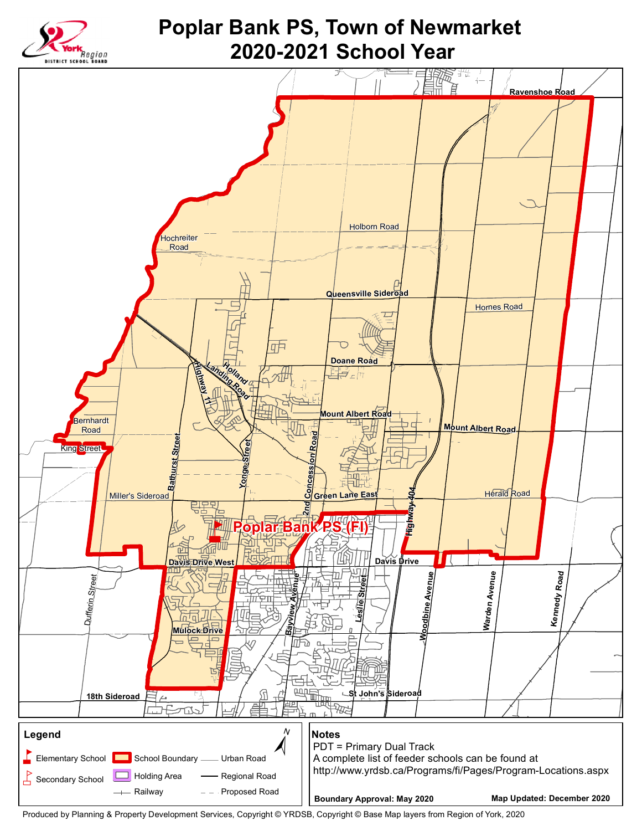

Produced by Planning & Property Development Services, Copyright © YRDSB, Copyright © Base Map layers from Region of York, 2020